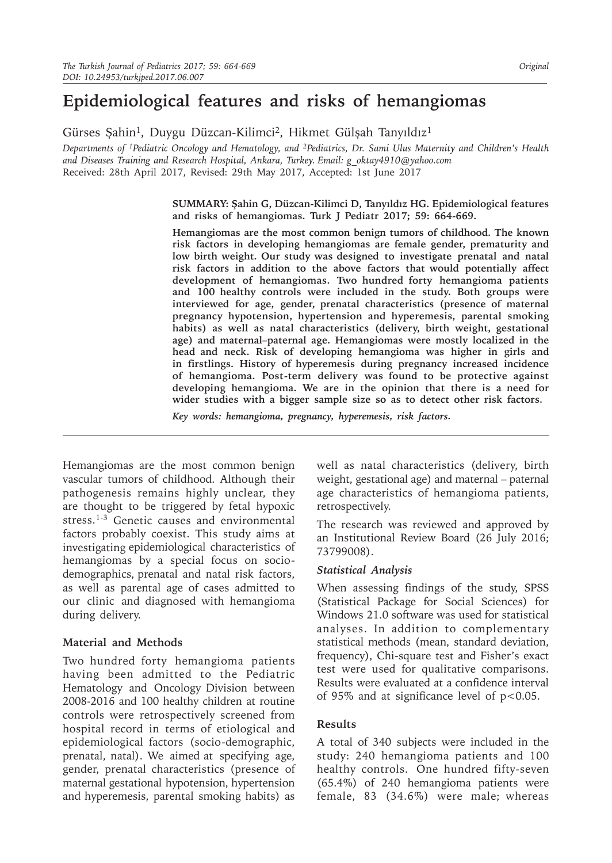# **Epidemiological features and risks of hemangiomas**

Gürses Şahin<sup>1</sup>, Duygu Düzcan-Kilimci<sup>2</sup>, Hikmet Gülşah Tanyıldız<sup>1</sup>

*Departments of 1Pediatric Oncology and Hematology, and 2Pediatrics, Dr. Sami Ulus Maternity and Children's Health and Diseases Training and Research Hospital, Ankara, Turkey. Email: g\_oktay4910@yahoo.com*  Received: 28th April 2017, Revised: 29th May 2017, Accepted: 1st June 2017

> **SUMMARY: Şahin G, Düzcan-Kilimci D, Tanyıldız HG. Epidemiological features and risks of hemangiomas. Turk J Pediatr 2017; 59: 664-669.**

> **Hemangiomas are the most common benign tumors of childhood. The known risk factors in developing hemangiomas are female gender, prematurity and low birth weight. Our study was designed to investigate prenatal and natal risk factors in addition to the above factors that would potentially affect development of hemangiomas. Two hundred forty hemangioma patients and 100 healthy controls were included in the study. Both groups were interviewed for age, gender, prenatal characteristics (presence of maternal pregnancy hypotension, hypertension and hyperemesis, parental smoking habits) as well as natal characteristics (delivery, birth weight, gestational age) and maternal–paternal age. Hemangiomas were mostly localized in the head and neck. Risk of developing hemangioma was higher in girls and in firstlings. History of hyperemesis during pregnancy increased incidence of hemangioma. Post-term delivery was found to be protective against developing hemangioma. We are in the opinion that there is a need for wider studies with a bigger sample size so as to detect other risk factors.**

*Key words: hemangioma, pregnancy, hyperemesis, risk factors.*

Hemangiomas are the most common benign vascular tumors of childhood. Although their pathogenesis remains highly unclear, they are thought to be triggered by fetal hypoxic stress.<sup>1-3</sup> Genetic causes and environmental factors probably coexist. This study aims at investigating epidemiological characteristics of hemangiomas by a special focus on sociodemographics, prenatal and natal risk factors, as well as parental age of cases admitted to our clinic and diagnosed with hemangioma during delivery.

## **Material and Methods**

Two hundred forty hemangioma patients having been admitted to the Pediatric Hematology and Oncology Division between 2008-2016 and 100 healthy children at routine controls were retrospectively screened from hospital record in terms of etiological and epidemiological factors (socio-demographic, prenatal, natal). We aimed at specifying age, gender, prenatal characteristics (presence of maternal gestational hypotension, hypertension and hyperemesis, parental smoking habits) as

well as natal characteristics (delivery, birth weight, gestational age) and maternal – paternal age characteristics of hemangioma patients, retrospectively.

The research was reviewed and approved by an Institutional Review Board (26 July 2016; 73799008).

#### *Statistical Analysis*

When assessing findings of the study, SPSS (Statistical Package for Social Sciences) for Windows 21.0 software was used for statistical analyses. In addition to complementary statistical methods (mean, standard deviation, frequency), Chi-square test and Fisher's exact test were used for qualitative comparisons. Results were evaluated at a confidence interval of 95% and at significance level of  $p < 0.05$ .

## **Results**

A total of 340 subjects were included in the study: 240 hemangioma patients and 100 healthy controls. One hundred fifty-seven (65.4%) of 240 hemangioma patients were female, 83 (34.6%) were male; whereas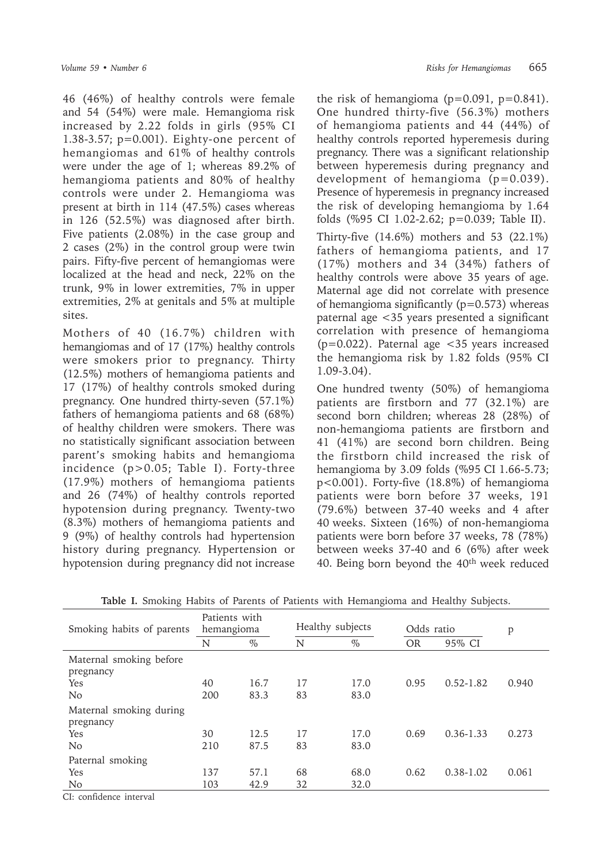46 (46%) of healthy controls were female and 54 (54%) were male. Hemangioma risk increased by 2.22 folds in girls (95% CI 1.38-3.57; p=0.001). Eighty-one percent of hemangiomas and 61% of healthy controls were under the age of 1; whereas 89.2% of hemangioma patients and 80% of healthy controls were under 2. Hemangioma was present at birth in 114 (47.5%) cases whereas in 126 (52.5%) was diagnosed after birth. Five patients (2.08%) in the case group and 2 cases (2%) in the control group were twin pairs. Fifty-five percent of hemangiomas were localized at the head and neck, 22% on the trunk, 9% in lower extremities, 7% in upper extremities, 2% at genitals and 5% at multiple sites.

Mothers of 40 (16.7%) children with hemangiomas and of 17 (17%) healthy controls were smokers prior to pregnancy. Thirty (12.5%) mothers of hemangioma patients and 17 (17%) of healthy controls smoked during pregnancy. One hundred thirty-seven (57.1%) fathers of hemangioma patients and 68 (68%) of healthy children were smokers. There was no statistically significant association between parent's smoking habits and hemangioma incidence (p>0.05; Table I). Forty-three (17.9%) mothers of hemangioma patients and 26 (74%) of healthy controls reported hypotension during pregnancy. Twenty-two (8.3%) mothers of hemangioma patients and 9 (9%) of healthy controls had hypertension history during pregnancy. Hypertension or hypotension during pregnancy did not increase

the risk of hemangioma  $(p=0.091, p=0.841)$ . One hundred thirty-five (56.3%) mothers of hemangioma patients and 44 (44%) of healthy controls reported hyperemesis during pregnancy. There was a significant relationship between hyperemesis during pregnancy and development of hemangioma (p=0.039). Presence of hyperemesis in pregnancy increased the risk of developing hemangioma by 1.64 folds (%95 CI 1.02-2.62; p=0.039; Table II). Thirty-five (14.6%) mothers and 53 (22.1%) fathers of hemangioma patients, and 17 (17%) mothers and 34 (34%) fathers of healthy controls were above 35 years of age. Maternal age did not correlate with presence of hemangioma significantly ( $p=0.573$ ) whereas paternal age <35 years presented a significant correlation with presence of hemangioma (p=0.022). Paternal age <35 years increased the hemangioma risk by 1.82 folds (95% CI 1.09-3.04).

One hundred twenty (50%) of hemangioma patients are firstborn and 77 (32.1%) are second born children; whereas 28 (28%) of non-hemangioma patients are firstborn and 41 (41%) are second born children. Being the firstborn child increased the risk of hemangioma by 3.09 folds (%95 CI 1.66-5.73; p<0.001). Forty-five (18.8%) of hemangioma patients were born before 37 weeks, 191 (79.6%) between 37-40 weeks and 4 after 40 weeks. Sixteen (16%) of non-hemangioma patients were born before 37 weeks, 78 (78%) between weeks 37-40 and 6 (6%) after week 40. Being born beyond the 40<sup>th</sup> week reduced

| Patients with<br>hemangioma |      | Healthy subjects |      | Odds ratio |               | p     |
|-----------------------------|------|------------------|------|------------|---------------|-------|
| N                           | $\%$ | N                | $\%$ | <b>OR</b>  | 95% CI        |       |
|                             |      |                  |      |            |               |       |
| 40                          | 16.7 | 17               | 17.0 | 0.95       | $0.52 - 1.82$ | 0.940 |
| 200                         | 83.3 | 83               | 83.0 |            |               |       |
|                             |      |                  |      |            |               |       |
| 30                          | 12.5 | 17               | 17.0 | 0.69       | $0.36 - 1.33$ | 0.273 |
| 210                         | 87.5 | 83               | 83.0 |            |               |       |
|                             |      |                  |      |            |               |       |
| 137                         | 57.1 | 68               | 68.0 | 0.62       | $0.38 - 1.02$ | 0.061 |
| 103                         | 42.9 | 32               | 32.0 |            |               |       |
|                             |      |                  |      |            |               |       |

**Table I.** Smoking Habits of Parents of Patients with Hemangioma and Healthy Subjects.

CI: confidence interval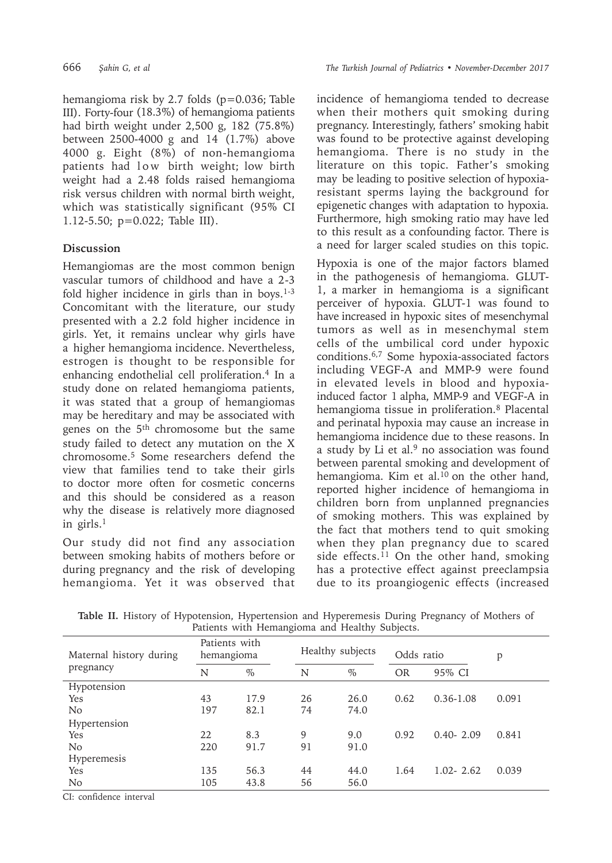hemangioma risk by 2.7 folds (p=0.036; Table III). Forty-four (18.3%) of hemangioma patients had birth weight under 2,500 g, 182 (75.8%) between 2500-4000 g and 14 (1.7%) above 4000 g. Eight (8%) of non-hemangioma patients had low birth weight; low birth weight had a 2.48 folds raised hemangioma risk versus children with normal birth weight, which was statistically significant (95% CI 1.12-5.50; p=0.022; Table III).

# **Discussion**

Hemangiomas are the most common benign vascular tumors of childhood and have a 2-3 fold higher incidence in girls than in boys.<sup>1-3</sup> Concomitant with the literature, our study presented with a 2.2 fold higher incidence in girls. Yet, it remains unclear why girls have a higher hemangioma incidence. Nevertheless, estrogen is thought to be responsible for enhancing endothelial cell proliferation.<sup>4</sup> In a study done on related hemangioma patients, it was stated that a group of hemangiomas may be hereditary and may be associated with genes on the 5th chromosome but the same study failed to detect any mutation on the X chromosome.5 Some researchers defend the view that families tend to take their girls to doctor more often for cosmetic concerns and this should be considered as a reason why the disease is relatively more diagnosed in girls.<sup>1</sup>

Our study did not find any association between smoking habits of mothers before or during pregnancy and the risk of developing hemangioma. Yet it was observed that

incidence of hemangioma tended to decrease when their mothers quit smoking during pregnancy. Interestingly, fathers' smoking habit was found to be protective against developing hemangioma. There is no study in the literature on this topic. Father's smoking may be leading to positive selection of hypoxiaresistant sperms laying the background for epigenetic changes with adaptation to hypoxia. Furthermore, high smoking ratio may have led to this result as a confounding factor. There is a need for larger scaled studies on this topic.

Hypoxia is one of the major factors blamed in the pathogenesis of hemangioma. GLUT-1, a marker in hemangioma is a significant perceiver of hypoxia. GLUT-1 was found to have increased in hypoxic sites of mesenchymal tumors as well as in mesenchymal stem cells of the umbilical cord under hypoxic conditions.6,7 Some hypoxia-associated factors including VEGF-A and MMP-9 were found in elevated levels in blood and hypoxiainduced factor 1 alpha, MMP-9 and VEGF-A in hemangioma tissue in proliferation.8 Placental and perinatal hypoxia may cause an increase in hemangioma incidence due to these reasons. In a study by Li et al.<sup>9</sup> no association was found between parental smoking and development of hemangioma. Kim et al.<sup>10</sup> on the other hand, reported higher incidence of hemangioma in children born from unplanned pregnancies of smoking mothers. This was explained by the fact that mothers tend to quit smoking when they plan pregnancy due to scared side effects.<sup>11</sup> On the other hand, smoking has a protective effect against preeclampsia due to its proangiogenic effects (increased

| Maternal history during<br>pregnancy | Patients with<br>hemangioma |      |    | Healthy subjects |           | Odds ratio    |       |
|--------------------------------------|-----------------------------|------|----|------------------|-----------|---------------|-------|
|                                      | N                           | $\%$ | N  | $\%$             | <b>OR</b> | 95% CI        |       |
| Hypotension                          |                             |      |    |                  |           |               |       |
| Yes                                  | 43                          | 17.9 | 26 | 26.0             | 0.62      | $0.36 - 1.08$ | 0.091 |
| N <sub>o</sub>                       | 197                         | 82.1 | 74 | 74.0             |           |               |       |
| Hypertension                         |                             |      |    |                  |           |               |       |
| Yes                                  | 22                          | 8.3  | 9  | 9.0              | 0.92      | $0.40 - 2.09$ | 0.841 |
| N <sub>o</sub>                       | 220                         | 91.7 | 91 | 91.0             |           |               |       |
| Hyperemesis                          |                             |      |    |                  |           |               |       |
| Yes                                  | 135                         | 56.3 | 44 | 44.0             | 1.64      | $1.02 - 2.62$ | 0.039 |
| No.                                  | 105                         | 43.8 | 56 | 56.0             |           |               |       |

**Table II.** History of Hypotension, Hypertension and Hyperemesis During Pregnancy of Mothers of Patients with Hemangioma and Healthy Subjects.

CI: confidence interval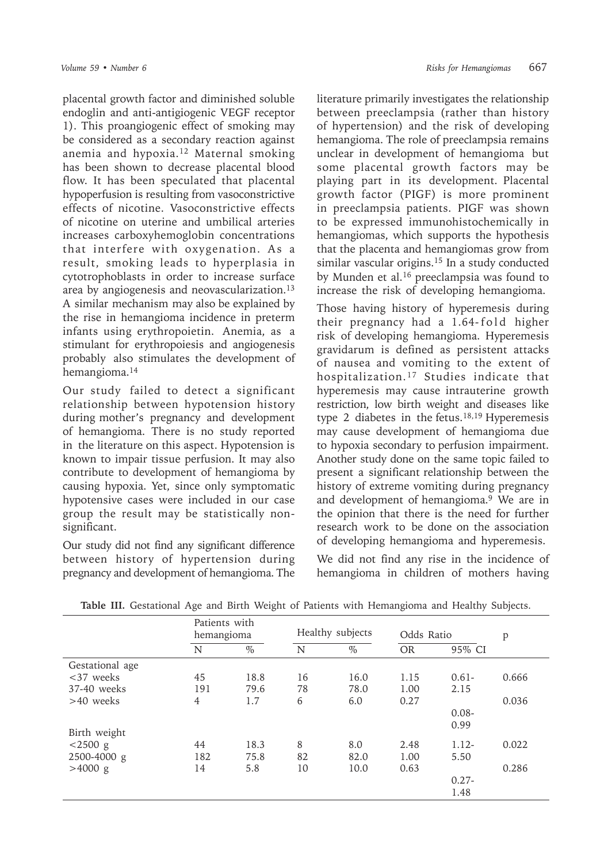placental growth factor and diminished soluble endoglin and anti-antigiogenic VEGF receptor 1). This proangiogenic effect of smoking may be considered as a secondary reaction against anemia and hypoxia.<sup>12</sup> Maternal smoking has been shown to decrease placental blood flow. It has been speculated that placental hypoperfusion is resulting from vasoconstrictive effects of nicotine. Vasoconstrictive effects of nicotine on uterine and umbilical arteries increases carboxyhemoglobin concentrations that interfere with oxygenation. As a result, smoking leads to hyperplasia in cytotrophoblasts in order to increase surface area by angiogenesis and neovascularization.<sup>13</sup> A similar mechanism may also be explained by the rise in hemangioma incidence in preterm infants using erythropoietin. Anemia, as a stimulant for erythropoiesis and angiogenesis probably also stimulates the development of hemangioma.<sup>14</sup>

Our study failed to detect a significant relationship between hypotension history during mother's pregnancy and development of hemangioma. There is no study reported in the literature on this aspect. Hypotension is known to impair tissue perfusion. It may also contribute to development of hemangioma by causing hypoxia. Yet, since only symptomatic hypotensive cases were included in our case group the result may be statistically nonsignificant.

Our study did not find any significant difference between history of hypertension during pregnancy and development of hemangioma. The

literature primarily investigates the relationship between preeclampsia (rather than history of hypertension) and the risk of developing hemangioma. The role of preeclampsia remains unclear in development of hemangioma but some placental growth factors may be playing part in its development. Placental growth factor (PIGF) is more prominent in preeclampsia patients. PIGF was shown to be expressed immunohistochemically in hemangiomas, which supports the hypothesis that the placenta and hemangiomas grow from similar vascular origins.<sup>15</sup> In a study conducted by Munden et al.<sup>16</sup> preeclampsia was found to increase the risk of developing hemangioma.

Those having history of hyperemesis during their pregnancy had a 1.64-fold higher risk of developing hemangioma. Hyperemesis gravidarum is defined as persistent attacks of nausea and vomiting to the extent of hospitalization.17 Studies indicate that hyperemesis may cause intrauterine growth restriction, low birth weight and diseases like type 2 diabetes in the fetus.<sup>18,19</sup> Hyperemesis may cause development of hemangioma due to hypoxia secondary to perfusion impairment. Another study done on the same topic failed to present a significant relationship between the history of extreme vomiting during pregnancy and development of hemangioma.9 We are in the opinion that there is the need for further research work to be done on the association of developing hemangioma and hyperemesis.

We did not find any rise in the incidence of hemangioma in children of mothers having

| Patients with<br>hemangioma |      | Healthy subjects |           | Odds Ratio |         |
|-----------------------------|------|------------------|-----------|------------|---------|
| $\%$                        | N    | $\%$             | <b>OR</b> | 95% CI     |         |
|                             |      |                  |           |            |         |
| 18.8                        | 16   | 16.0             | 1.15      | $0.61 -$   | 0.666   |
| 191<br>79.6                 | 78   | 78.0             | 1.00      | 2.15       |         |
| 1.7                         | 6    | 6.0              | 0.27      |            | 0.036   |
|                             |      |                  |           | $0.08 -$   |         |
|                             |      |                  |           | 0.99       |         |
|                             |      |                  |           |            |         |
|                             |      |                  |           |            | 0.022   |
| 182<br>75.8                 | 82   | 82.0             | 1.00      | 5.50       |         |
| 5.8                         | 10   | 10.0             | 0.63      |            | 0.286   |
|                             |      |                  |           | $0.27 -$   |         |
|                             |      |                  |           | 1.48       |         |
|                             | 18.3 | 8                | 8.0       | 2.48       | $1.12-$ |

**Table III.** Gestational Age and Birth Weight of Patients with Hemangioma and Healthy Subjects.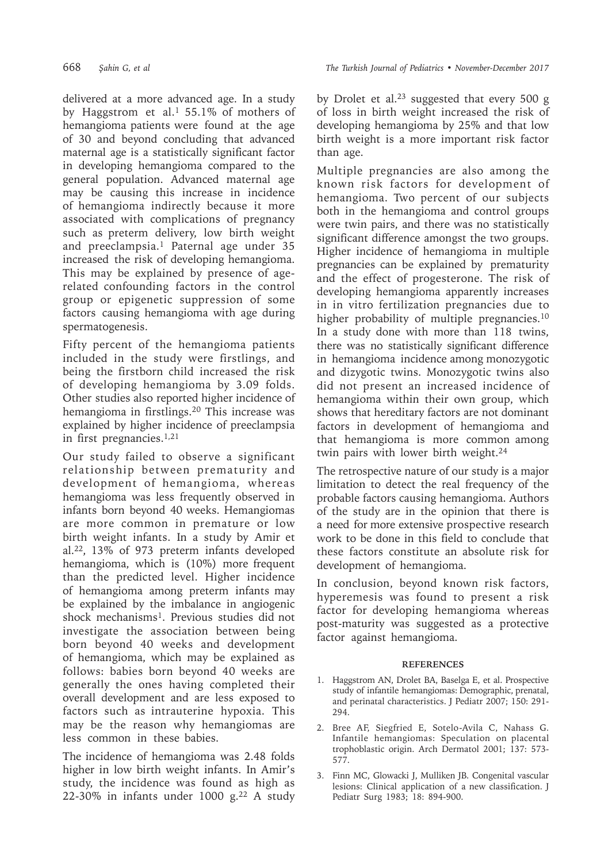delivered at a more advanced age. In a study by Haggstrom et al.<sup>1</sup> 55.1% of mothers of hemangioma patients were found at the age of 30 and beyond concluding that advanced maternal age is a statistically significant factor in developing hemangioma compared to the general population. Advanced maternal age may be causing this increase in incidence of hemangioma indirectly because it more associated with complications of pregnancy such as preterm delivery, low birth weight and preeclampsia.<sup>1</sup> Paternal age under 35 increased the risk of developing hemangioma. This may be explained by presence of agerelated confounding factors in the control group or epigenetic suppression of some factors causing hemangioma with age during spermatogenesis.

Fifty percent of the hemangioma patients included in the study were firstlings, and being the firstborn child increased the risk of developing hemangioma by 3.09 folds. Other studies also reported higher incidence of hemangioma in firstlings.20 This increase was explained by higher incidence of preeclampsia in first pregnancies.1,21

Our study failed to observe a significant relationship between prematurity and development of hemangioma, whereas hemangioma was less frequently observed in infants born beyond 40 weeks. Hemangiomas are more common in premature or low birth weight infants. In a study by Amir et al.<sup>22</sup>, 13% of 973 preterm infants developed hemangioma, which is (10%) more frequent than the predicted level. Higher incidence of hemangioma among preterm infants may be explained by the imbalance in angiogenic shock mechanisms<sup>1</sup>. Previous studies did not investigate the association between being born beyond 40 weeks and development of hemangioma, which may be explained as follows: babies born beyond 40 weeks are generally the ones having completed their overall development and are less exposed to factors such as intrauterine hypoxia. This may be the reason why hemangiomas are less common in these babies.

The incidence of hemangioma was 2.48 folds higher in low birth weight infants. In Amir's study, the incidence was found as high as 22-30% in infants under  $1000$  g.<sup>22</sup> A study by Drolet et al.<sup>23</sup> suggested that every 500 g of loss in birth weight increased the risk of developing hemangioma by 25% and that low birth weight is a more important risk factor than age.

Multiple pregnancies are also among the known risk factors for development of hemangioma. Two percent of our subjects both in the hemangioma and control groups were twin pairs, and there was no statistically significant difference amongst the two groups. Higher incidence of hemangioma in multiple pregnancies can be explained by prematurity and the effect of progesterone. The risk of developing hemangioma apparently increases in in vitro fertilization pregnancies due to higher probability of multiple pregnancies.<sup>10</sup> In a study done with more than 118 twins, there was no statistically significant difference in hemangioma incidence among monozygotic and dizygotic twins. Monozygotic twins also did not present an increased incidence of hemangioma within their own group, which shows that hereditary factors are not dominant factors in development of hemangioma and that hemangioma is more common among twin pairs with lower birth weight.<sup>24</sup>

The retrospective nature of our study is a major limitation to detect the real frequency of the probable factors causing hemangioma. Authors of the study are in the opinion that there is a need for more extensive prospective research work to be done in this field to conclude that these factors constitute an absolute risk for development of hemangioma.

In conclusion, beyond known risk factors, hyperemesis was found to present a risk factor for developing hemangioma whereas post-maturity was suggested as a protective factor against hemangioma.

#### **REFERENCES**

- 1. Haggstrom AN, Drolet BA, Baselga E, et al. Prospective study of infantile hemangiomas: Demographic, prenatal, and perinatal characteristics. J Pediatr 2007; 150: 291- 294.
- 2. Bree AF, Siegfried E, Sotelo-Avila C, Nahass G. Infantile hemangiomas: Speculation on placental trophoblastic origin. Arch Dermatol 2001; 137: 573- 577.
- 3. Finn MC, Glowacki J, Mulliken JB. Congenital vascular lesions: Clinical application of a new classification. J Pediatr Surg 1983; 18: 894-900.